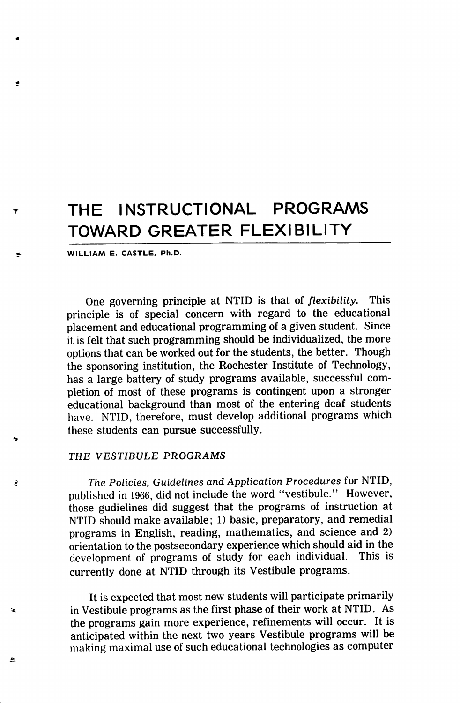# THE INSTRUCTIONAL PROGRAMS TOWARD GREATER FLEXIBILITY

WILLIAM E. CASTLE, Ph.D.

One governing principle at NTID is that of flexibility. This principle is of special concern with regard to the educational placement and educational programming of a given student. Since it is felt that such programming should be individualized, the more options that can be worked out for the students, the better. Though the sponsoring institution, the Rochester Institute of Technology, has a large battery of study programs available, successful com pletion of most of these programs is contingent upon a stronger educational background than most of the entering deaf students have. NTID, therefore, must develop additional programs which these students can pursue successfully.

## THE VESTIBULE PROGRAMS

À

The Policies, Guidelines and Application Procedures for NTID, published in 1966, did not include the word "vestibule." However, those gudielines did suggest that the programs of instruction at NTID should make available; 1) basic, preparatory, and remedial programs in English, reading, mathematics, and science and 2) orientation to the postsecondary experience which should aid in the development of programs of study for each individual. This is development of programs of study for each individual. currently done at NTID through its Vestibule programs.

It is expected that most new students will participate primarily in Vestibule programs as the first phase of their work at NTID. As the programs gain more experience, refinements will occur. It is anticipated within the next two years Vestibule programs will be making maximal use of such educational technologies as computer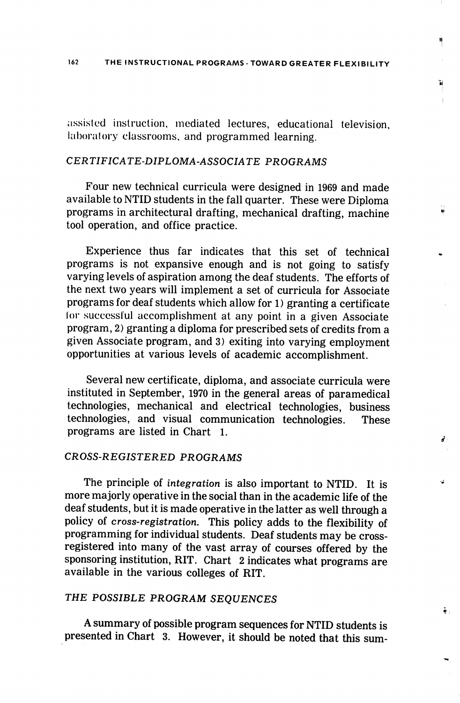'n,

21

÷.

assisted instruction, mediated lectures, educational television, laboratory classrooms, and programmed learning.

## CERTIFICATE-DIPLOMA-ASSOCIATE PROGRAMS

Four new technical curricula were designed in 1969 and made available to NTID students in the fall quarter. These were Diploma programs in architectural drafting, mechanical drafting, machine tool operation, and office practice.

Experience thus far indicates that this set of technical programs is not expansive enough and is not going to satisfy varying levels of aspiration among the deaf students. The efforts of the next two years will implement a set of curricula for Associate programs for deaf students which allow for 1) granting a certificate lor successful accomplishment at any point in a given Associate program, 2) granting a diploma for prescribed sets of credits from a given Associate program, and 3) exiting into varying employment opportunities at various levels of academic accomplishment.

Several new certificate, diploma, and associate curricula were instituted in September, 1970 in the general areas of paramedical technologies, mechanical and electrical technologies, business technologies, and visual communication technologies. These programs are listed in Chart 1.

#### CROSS-REGISTERED PROGRAMS

The principle of integration is also important to NTID. It is more majorly operative in the social than in the academic life of the deaf students, but it is made operative in the latter as well through a policy of cross-registration. This policy adds to the flexibility of programming for individual students. Deaf students may be crossregistered into many of the vast array of courses offered by the sponsoring institution, RIT. Chart 2 indicates what programs are available in the various colleges of RIT.

# THE POSSIBLE PROGRAM SEQUENCES

A summary of possible program sequences for NTID students is presented in Chart 3. However, it should be noted that this sum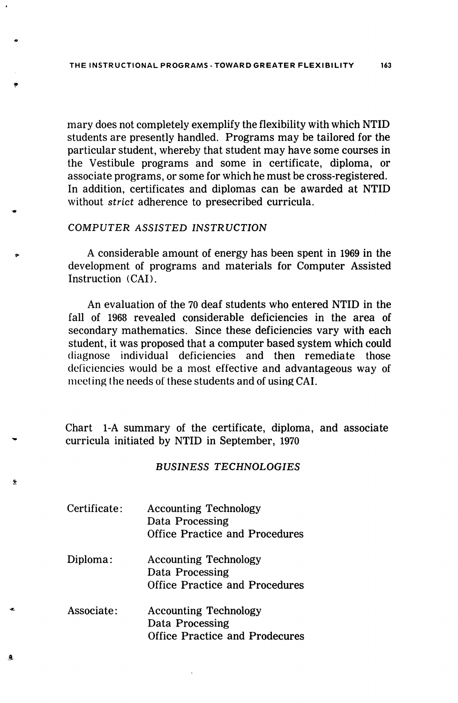mary does not completely exemplify the flexibility with which NTID students are presently handled. Programs may be tailored for the particular student, whereby that student may have some courses in the Vestibule programs and some in certificate, diploma, or associate programs, or some for which he must be cross-registered. In addition, certificates and diplomas can be awarded at NTID without strict adherence to presecribed curricula.

#### COMPUTER ASSISTED INSTRUCTION

A considerable amount of energy has been spent in 1969 in the development of programs and materials for Computer Assisted Instruction (CAD.

An evaluation of the 70 deaf students who entered NTID in the fall of 1968 revealed considerable deficiencies in the area of secondary mathematics. Since these deficiencies vary with each student, it was proposed that a computer based system which could diagnose individual deficiencies and then remediate those deficiencies would be a most effective and advantageous way of meeting the needs of these students and of using CAI.

Chart 1-A summary of the certificate, diploma, and associate curricula initiated by NTID in September, 1970

#### BUSINESS TECHNOLOGIES

Certificate: Accounting Technology Data Processing Office Practice and Procedures

 $\ddot{\mathbf{r}}$ 

- Diploma: Accounting Technology Data Processing Office Practice and Procedures
- Associate: Accounting Technology Data Processing Office Practice and Prodecures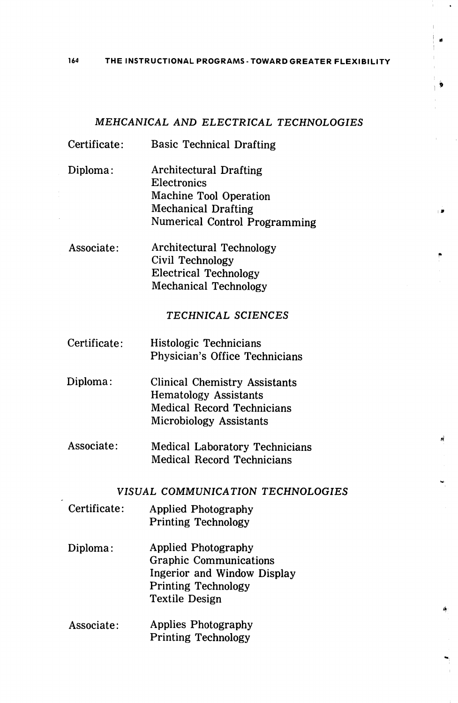164 THE INSTRUCTIONAL PROGRAMS - TOWARD GREATER FLEXIBILITY

### MEHCANICAL AND ELECTRICAL TECHNOLOGIES

- Certificate; Basic Technical Drafting
- Diploma: Architectural Drafting Electronics Machine Tool Operation Mechanical Drafting Numerical Control Programming
- Associate: Architectural Technology Civil Technology Electrical Technology Mechanical Technology

#### TECHNICAL SCIENCES

- Certificate: Histologic Technicians Physician's Office Technicians
- Diploma: Clinical Chemistry Assistants Hematology Assistants Medical Record Technicians Microbiology Assistants
- Associate: Medical Laboratory Technicians Medical Record Technicians

## VISUAL COMMUNICATION TECHNOLOGIES

- Certificate: Applied Photography Printing Technology
- Diploma: Applied Photography Graphic Communications Ingerior and Window Display Printing Technology Textile Design
- Associate: Applies Photography Printing Technology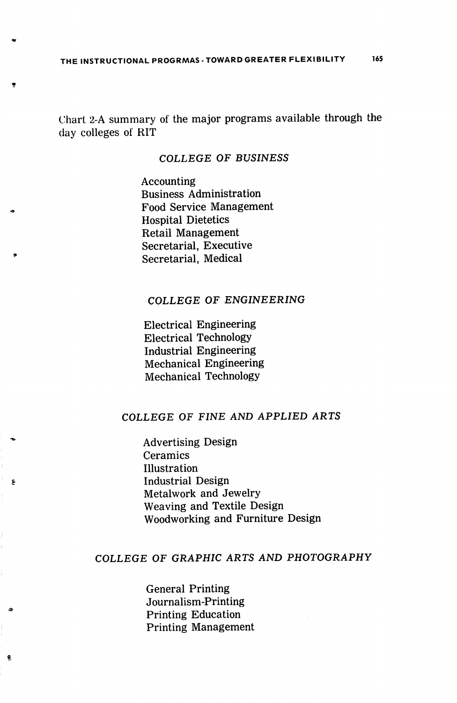Chart 2-A summary of the major programs available through the day colleges of RIT

### COLLEGE OF BUSINESS

Accounting Business Administration Food Service Management Hospital Dietetics Retail Management Secretarial, Executive Secretarial, Medical

## COLLEGE OF ENGINEERING

Electrical Engineering Electrical Technology Industrial Engineering Mechanical Engineering Mechanical Technology

# COLLEGE OF FINE AND APPLIED ARTS

Advertising Design Ceramics Illustration Industrial Design Metalwork and Jewelry Weaving and Textile Design Woodworking and Furniture Design

## COLLEGE OF GRAPHIC ARTS AND PHOTOGRAPHY

General Printing Journalism-Printing Printing Education Printing Management

 $\boldsymbol{Q}$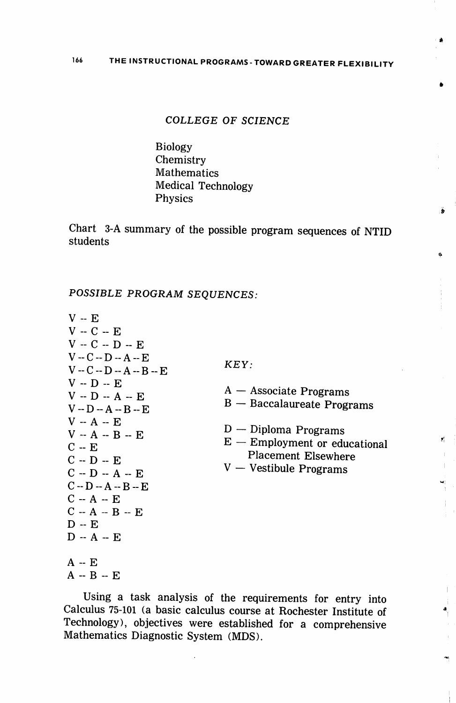#### COLLEGE OF SCIENCE

Biology **Chemistry Mathematics** Medical Technology Physics

Chart 3-A summary of the possible program sequences of NTID students

POSSIBLE PROGRAM SEQUENCES:

| $V - E$                                                                                                                                                                                                                                                                   |                                                                                                                                                                                       |
|---------------------------------------------------------------------------------------------------------------------------------------------------------------------------------------------------------------------------------------------------------------------------|---------------------------------------------------------------------------------------------------------------------------------------------------------------------------------------|
| $V - C - F$                                                                                                                                                                                                                                                               |                                                                                                                                                                                       |
| $V - C - D - E$                                                                                                                                                                                                                                                           |                                                                                                                                                                                       |
| $V - C - D - A - E$<br>$V - C - D - A - B - E$<br>$V - D - E$<br>$V - D - A - E$<br>$V - D - A - B - E$<br>$V - A - E$<br>$V - A - B - E$<br>$C - E$<br>$C - D - E$<br>$C - D - A - E$<br>$C - D - A - B - E$<br>$C - A - E$<br>$C - A - B - E$<br>$D - E$<br>$D - A - E$ | KEY:<br>$A -$ Associate Programs<br>$B -$ Baccalaureate Programs<br>$D$ — Diploma Programs<br>$E$ – Employment or educational<br><b>Placement Elsewhere</b><br>V — Vestibule Programs |
|                                                                                                                                                                                                                                                                           |                                                                                                                                                                                       |
| $A - E$                                                                                                                                                                                                                                                                   |                                                                                                                                                                                       |
| $A - B - E$                                                                                                                                                                                                                                                               |                                                                                                                                                                                       |

Using a task analysis of the requirements for entry into Calculus 75-101 (a basic calculus course at Rochester Institute of Technology), objectives were established for a comprehensive Mathematics Diagnostic System (MDS).